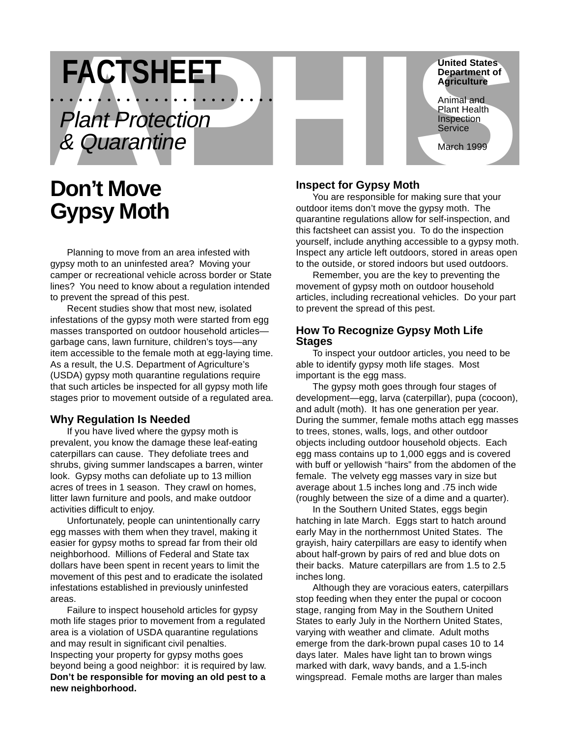**FACTSHEET**<br>
Plant Protection<br>
& Quarantine<br> **Don't Move**<br>
March 1999<br>
Aprint Protection<br>
Bon't Move<br>
March 1999<br>
Inspect for Gypsy Moth<br>
Inspect for Gypsy Moth •••••••••••••••••••••••• Plant Protection & Quarantine

# **Don't Move Gypsy Moth**

Planning to move from an area infested with gypsy moth to an uninfested area? Moving your camper or recreational vehicle across border or State lines? You need to know about a regulation intended to prevent the spread of this pest.

Recent studies show that most new, isolated infestations of the gypsy moth were started from egg masses transported on outdoor household articles garbage cans, lawn furniture, children's toys—any item accessible to the female moth at egg-laying time. As a result, the U.S. Department of Agriculture's (USDA) gypsy moth quarantine regulations require that such articles be inspected for all gypsy moth life stages prior to movement outside of a regulated area.

# **Why Regulation Is Needed**

If you have lived where the gypsy moth is prevalent, you know the damage these leaf-eating caterpillars can cause. They defoliate trees and shrubs, giving summer landscapes a barren, winter look. Gypsy moths can defoliate up to 13 million acres of trees in 1 season. They crawl on homes, litter lawn furniture and pools, and make outdoor activities difficult to enjoy.

Unfortunately, people can unintentionally carry egg masses with them when they travel, making it easier for gypsy moths to spread far from their old neighborhood. Millions of Federal and State tax dollars have been spent in recent years to limit the movement of this pest and to eradicate the isolated infestations established in previously uninfested areas.

Failure to inspect household articles for gypsy moth life stages prior to movement from a regulated area is a violation of USDA quarantine regulations and may result in significant civil penalties. Inspecting your property for gypsy moths goes beyond being a good neighbor: it is required by law. **Don't be responsible for moving an old pest to a new neighborhood.**

# **Inspect for Gypsy Moth**

You are responsible for making sure that your outdoor items don't move the gypsy moth. The quarantine regulations allow for self-inspection, and this factsheet can assist you. To do the inspection yourself, include anything accessible to a gypsy moth. Inspect any article left outdoors, stored in areas open to the outside, or stored indoors but used outdoors.

**United States Department of Agriculture** Animal and Plant Health Inspection **Service** 

March 1999

Remember, you are the key to preventing the movement of gypsy moth on outdoor household articles, including recreational vehicles. Do your part to prevent the spread of this pest.

# **How To Recognize Gypsy Moth Life Stages**

To inspect your outdoor articles, you need to be able to identify gypsy moth life stages. Most important is the egg mass.

The gypsy moth goes through four stages of development—egg, larva (caterpillar), pupa (cocoon), and adult (moth). It has one generation per year. During the summer, female moths attach egg masses to trees, stones, walls, logs, and other outdoor objects including outdoor household objects. Each egg mass contains up to 1,000 eggs and is covered with buff or yellowish "hairs" from the abdomen of the female. The velvety egg masses vary in size but average about 1.5 inches long and .75 inch wide (roughly between the size of a dime and a quarter).

In the Southern United States, eggs begin hatching in late March. Eggs start to hatch around early May in the northernmost United States. The grayish, hairy caterpillars are easy to identify when about half-grown by pairs of red and blue dots on their backs. Mature caterpillars are from 1.5 to 2.5 inches long.

Although they are voracious eaters, caterpillars stop feeding when they enter the pupal or cocoon stage, ranging from May in the Southern United States to early July in the Northern United States, varying with weather and climate. Adult moths emerge from the dark-brown pupal cases 10 to 14 days later. Males have light tan to brown wings marked with dark, wavy bands, and a 1.5-inch wingspread. Female moths are larger than males